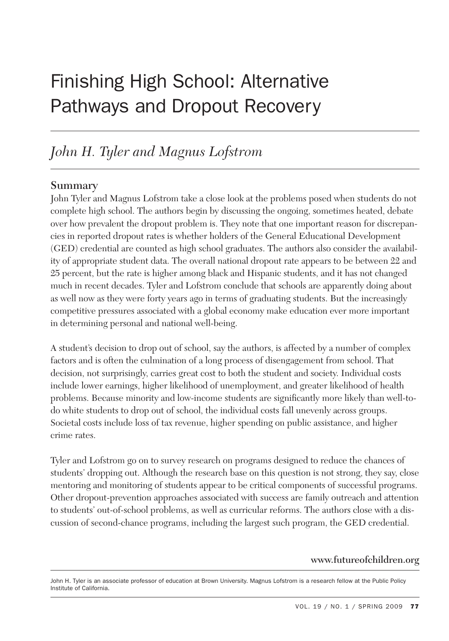# Finishing High School: Alternative Pathways and Dropout Recovery

# *John H. Tyler and Magnus Lofstrom*

# **Summary**

John Tyler and Magnus Lofstrom take a close look at the problems posed when students do not complete high school. The authors begin by discussing the ongoing, sometimes heated, debate over how prevalent the dropout problem is. They note that one important reason for discrepancies in reported dropout rates is whether holders of the General Educational Development (GED) credential are counted as high school graduates. The authors also consider the availability of appropriate student data. The overall national dropout rate appears to be between 22 and 25 percent, but the rate is higher among black and Hispanic students, and it has not changed much in recent decades. Tyler and Lofstrom conclude that schools are apparently doing about as well now as they were forty years ago in terms of graduating students. But the increasingly competitive pressures associated with a global economy make education ever more important in determining personal and national well-being.

A student's decision to drop out of school, say the authors, is affected by a number of complex factors and is often the culmination of a long process of disengagement from school. That decision, not surprisingly, carries great cost to both the student and society. Individual costs include lower earnings, higher likelihood of unemployment, and greater likelihood of health problems. Because minority and low-income students are significantly more likely than well-todo white students to drop out of school, the individual costs fall unevenly across groups. Societal costs include loss of tax revenue, higher spending on public assistance, and higher crime rates.

Tyler and Lofstrom go on to survey research on programs designed to reduce the chances of students' dropping out. Although the research base on this question is not strong, they say, close mentoring and monitoring of students appear to be critical components of successful programs. Other dropout-prevention approaches associated with success are family outreach and attention to students' out-of-school problems, as well as curricular reforms. The authors close with a discussion of second-chance programs, including the largest such program, the GED credential.

### **www.futureofchildren.org**

John H. Tyler is an associate professor of education at Brown University. Magnus Lofstrom is a research fellow at the Public Policy Institute of California.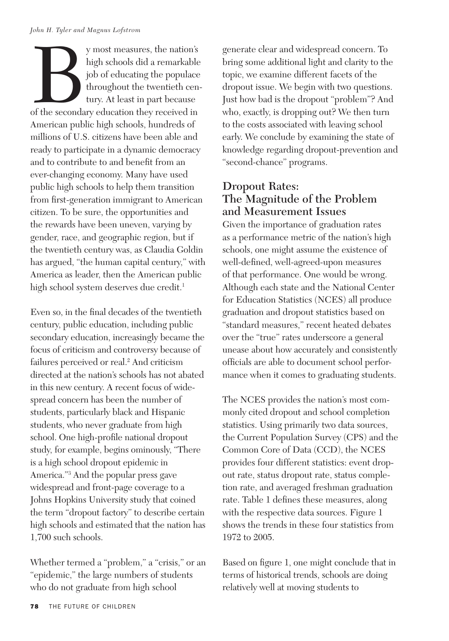y most measures, the nation's<br>
high schools did a remarkable<br>
job of educating the populace<br>
throughout the twentieth cen-<br>
tury. At least in part because<br>
of the secondary education they received in high schools did a remarkable job of educating the populace throughout the twentieth century. At least in part because American public high schools, hundreds of millions of U.S. citizens have been able and ready to participate in a dynamic democracy and to contribute to and benefit from an ever-changing economy. Many have used public high schools to help them transition from first-generation immigrant to American citizen. To be sure, the opportunities and the rewards have been uneven, varying by gender, race, and geographic region, but if the twentieth century was, as Claudia Goldin has argued, "the human capital century," with America as leader, then the American public high school system deserves due credit.<sup>1</sup>

Even so, in the final decades of the twentieth century, public education, including public secondary education, increasingly became the focus of criticism and controversy because of failures perceived or real.<sup>2</sup> And criticism directed at the nation's schools has not abated in this new century. A recent focus of widespread concern has been the number of students, particularly black and Hispanic students, who never graduate from high school. One high-profile national dropout study, for example, begins ominously, "There is a high school dropout epidemic in America."3 And the popular press gave widespread and front-page coverage to a Johns Hopkins University study that coined the term "dropout factory" to describe certain high schools and estimated that the nation has 1,700 such schools.

Whether termed a "problem," a "crisis," or an "epidemic," the large numbers of students who do not graduate from high school

generate clear and widespread concern. To bring some additional light and clarity to the topic, we examine different facets of the dropout issue. We begin with two questions. Just how bad is the dropout "problem"? And who, exactly, is dropping out? We then turn to the costs associated with leaving school early. We conclude by examining the state of knowledge regarding dropout-prevention and "second-chance" programs.

# **Dropout Rates: The Magnitude of the Problem and Measurement Issues**

Given the importance of graduation rates as a performance metric of the nation's high schools, one might assume the existence of well-defined, well-agreed-upon measures of that performance. One would be wrong. Although each state and the National Center for Education Statistics (NCES) all produce graduation and dropout statistics based on "standard measures," recent heated debates over the "true" rates underscore a general unease about how accurately and consistently officials are able to document school performance when it comes to graduating students.

The NCES provides the nation's most commonly cited dropout and school completion statistics. Using primarily two data sources, the Current Population Survey (CPS) and the Common Core of Data (CCD), the NCES provides four different statistics: event dropout rate, status dropout rate, status completion rate, and averaged freshman graduation rate. Table 1 defines these measures, along with the respective data sources. Figure 1 shows the trends in these four statistics from 1972 to 2005.

Based on figure 1, one might conclude that in terms of historical trends, schools are doing relatively well at moving students to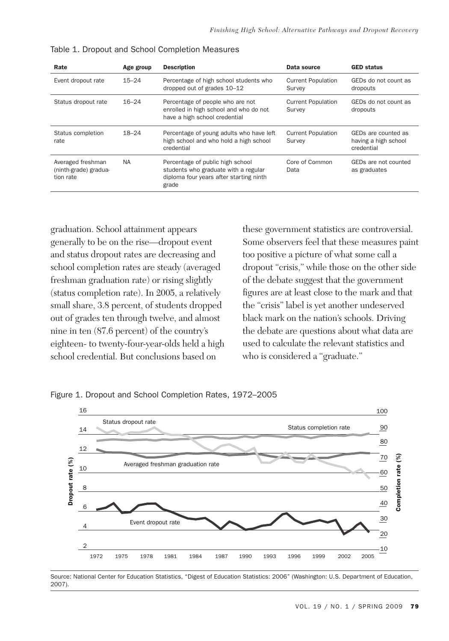| Rate                                                                 | Age group | <b>Description</b><br>Data source                                                                                                                  |                                     | <b>GED status</b>                                         |
|----------------------------------------------------------------------|-----------|----------------------------------------------------------------------------------------------------------------------------------------------------|-------------------------------------|-----------------------------------------------------------|
| Event dropout rate                                                   | $15 - 24$ | Percentage of high school students who<br>dropped out of grades 10-12                                                                              | <b>Current Population</b><br>Survey | GEDs do not count as<br>dropouts                          |
| Status dropout rate                                                  | $16 - 24$ | <b>Current Population</b><br>Percentage of people who are not<br>enrolled in high school and who do not<br>Survey<br>have a high school credential |                                     | GEDs do not count as<br>dropouts                          |
| Status completion<br>rate                                            | $18 - 24$ | Percentage of young adults who have left<br>high school and who hold a high school<br>credential                                                   | <b>Current Population</b><br>Survey | GEDs are counted as<br>having a high school<br>credential |
| <b>NA</b><br>Averaged freshman<br>(ninth-grade) gradua-<br>tion rate |           | Percentage of public high school<br>students who graduate with a regular<br>diploma four years after starting ninth<br>grade                       | Core of Common<br>Data              | GEDs are not counted<br>as graduates                      |

|  |  |  |  |  | Table 1. Dropout and School Completion Measures |  |
|--|--|--|--|--|-------------------------------------------------|--|
|--|--|--|--|--|-------------------------------------------------|--|

graduation. School attainment appears generally to be on the rise—dropout event and status dropout rates are decreasing and school completion rates are steady (averaged freshman graduation rate) or rising slightly (status completion rate). In 2005, a relatively small share, 3.8 percent, of students dropped out of grades ten through twelve, and almost nine in ten (87.6 percent) of the country's eighteen- to twenty-four-year-olds held a high school credential. But conclusions based on

these government statistics are controversial. Some observers feel that these measures paint too positive a picture of what some call a dropout "crisis," while those on the other side of the debate suggest that the government figures are at least close to the mark and that the "crisis" label is yet another undeserved black mark on the nation's schools. Driving the debate are questions about what data are used to calculate the relevant statistics and who is considered a "graduate."

#### Figure 1. Dropout and School Completion Rates, 1972–2005



Source: National Center for Education Statistics, "Digest of Education Statistics: 2006" (Washington: U.S. Department of Education, 2007).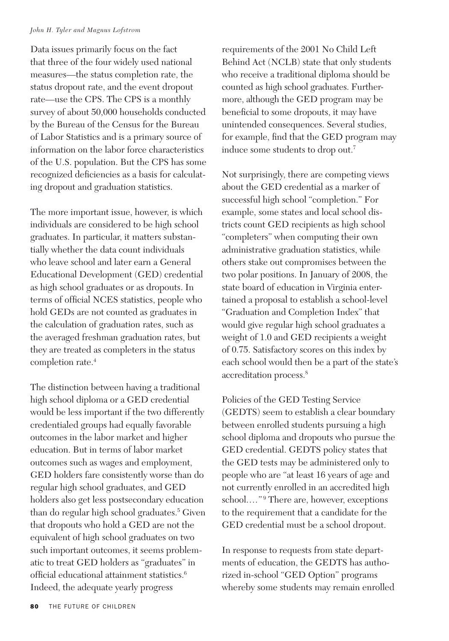Data issues primarily focus on the fact that three of the four widely used national measures—the status completion rate, the status dropout rate, and the event dropout rate—use the CPS. The CPS is a monthly survey of about 50,000 households conducted by the Bureau of the Census for the Bureau of Labor Statistics and is a primary source of information on the labor force characteristics of the U.S. population. But the CPS has some recognized deficiencies as a basis for calculating dropout and graduation statistics.

The more important issue, however, is which individuals are considered to be high school graduates. In particular, it matters substantially whether the data count individuals who leave school and later earn a General Educational Development (GED) credential as high school graduates or as dropouts. In terms of official NCES statistics, people who hold GEDs are not counted as graduates in the calculation of graduation rates, such as the averaged freshman graduation rates, but they are treated as completers in the status completion rate.4

The distinction between having a traditional high school diploma or a GED credential would be less important if the two differently credentialed groups had equally favorable outcomes in the labor market and higher education. But in terms of labor market outcomes such as wages and employment, GED holders fare consistently worse than do regular high school graduates, and GED holders also get less postsecondary education than do regular high school graduates.5 Given that dropouts who hold a GED are not the equivalent of high school graduates on two such important outcomes, it seems problematic to treat GED holders as "graduates" in official educational attainment statistics.6 Indeed, the adequate yearly progress

requirements of the 2001 No Child Left Behind Act (NCLB) state that only students who receive a traditional diploma should be counted as high school graduates. Furthermore, although the GED program may be beneficial to some dropouts, it may have unintended consequences. Several studies, for example, find that the GED program may induce some students to drop out.7

Not surprisingly, there are competing views about the GED credential as a marker of successful high school "completion." For example, some states and local school districts count GED recipients as high school "completers" when computing their own administrative graduation statistics, while others stake out compromises between the two polar positions. In January of 2008, the state board of education in Virginia entertained a proposal to establish a school-level "Graduation and Completion Index" that would give regular high school graduates a weight of 1.0 and GED recipients a weight of 0.75. Satisfactory scores on this index by each school would then be a part of the state's accreditation process.8

Policies of the GED Testing Service (GEDTS) seem to establish a clear boundary between enrolled students pursuing a high school diploma and dropouts who pursue the GED credential. GEDTS policy states that the GED tests may be administered only to people who are "at least 16 years of age and not currently enrolled in an accredited high school...."<sup>9</sup> There are, however, exceptions to the requirement that a candidate for the GED credential must be a school dropout.

In response to requests from state departments of education, the GEDTS has authorized in-school "GED Option" programs whereby some students may remain enrolled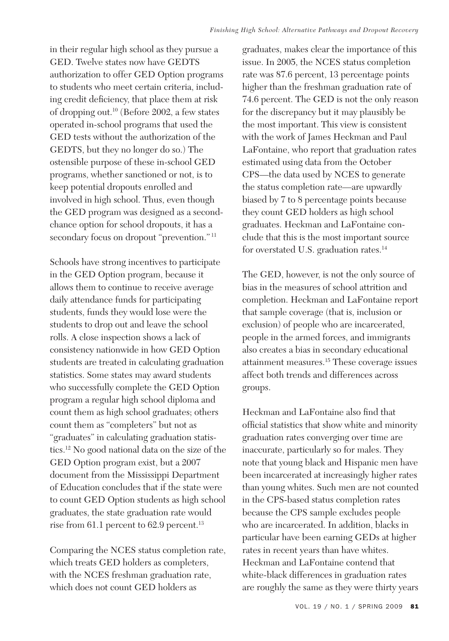in their regular high school as they pursue a GED. Twelve states now have GEDTS authorization to offer GED Option programs to students who meet certain criteria, including credit deficiency, that place them at risk of dropping out.10 (Before 2002, a few states operated in-school programs that used the GED tests without the authorization of the GEDTS, but they no longer do so.) The ostensible purpose of these in-school GED programs, whether sanctioned or not, is to keep potential dropouts enrolled and involved in high school. Thus, even though the GED program was designed as a secondchance option for school dropouts, it has a secondary focus on dropout "prevention."<sup>11</sup>

Schools have strong incentives to participate in the GED Option program, because it allows them to continue to receive average daily attendance funds for participating students, funds they would lose were the students to drop out and leave the school rolls. A close inspection shows a lack of consistency nationwide in how GED Option students are treated in calculating graduation statistics. Some states may award students who successfully complete the GED Option program a regular high school diploma and count them as high school graduates; others count them as "completers" but not as "graduates" in calculating graduation statistics.12 No good national data on the size of the GED Option program exist, but a 2007 document from the Mississippi Department of Education concludes that if the state were to count GED Option students as high school graduates, the state graduation rate would rise from 61.1 percent to 62.9 percent.<sup>13</sup>

Comparing the NCES status completion rate, which treats GED holders as completers, with the NCES freshman graduation rate, which does not count GED holders as

graduates, makes clear the importance of this issue. In 2005, the NCES status completion rate was 87.6 percent, 13 percentage points higher than the freshman graduation rate of 74.6 percent. The GED is not the only reason for the discrepancy but it may plausibly be the most important. This view is consistent with the work of James Heckman and Paul LaFontaine, who report that graduation rates estimated using data from the October CPS—the data used by NCES to generate the status completion rate—are upwardly biased by 7 to 8 percentage points because they count GED holders as high school graduates. Heckman and LaFontaine conclude that this is the most important source for overstated U.S. graduation rates.<sup>14</sup>

The GED, however, is not the only source of bias in the measures of school attrition and completion. Heckman and LaFontaine report that sample coverage (that is, inclusion or exclusion) of people who are incarcerated, people in the armed forces, and immigrants also creates a bias in secondary educational attainment measures.15 These coverage issues affect both trends and differences across groups.

Heckman and LaFontaine also find that official statistics that show white and minority graduation rates converging over time are inaccurate, particularly so for males. They note that young black and Hispanic men have been incarcerated at increasingly higher rates than young whites. Such men are not counted in the CPS-based status completion rates because the CPS sample excludes people who are incarcerated. In addition, blacks in particular have been earning GEDs at higher rates in recent years than have whites. Heckman and LaFontaine contend that white-black differences in graduation rates are roughly the same as they were thirty years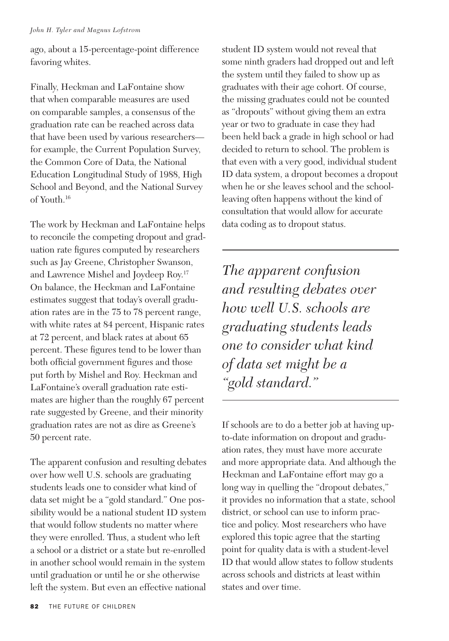ago, about a 15-percentage-point difference favoring whites.

Finally, Heckman and LaFontaine show that when comparable measures are used on comparable samples, a consensus of the graduation rate can be reached across data that have been used by various researchers for example, the Current Population Survey, the Common Core of Data, the National Education Longitudinal Study of 1988, High School and Beyond, and the National Survey of Youth.16

The work by Heckman and LaFontaine helps to reconcile the competing dropout and graduation rate figures computed by researchers such as Jay Greene, Christopher Swanson, and Lawrence Mishel and Joydeep Roy.17 On balance, the Heckman and LaFontaine estimates suggest that today's overall graduation rates are in the 75 to 78 percent range, with white rates at 84 percent, Hispanic rates at 72 percent, and black rates at about 65 percent. These figures tend to be lower than both official government figures and those put forth by Mishel and Roy. Heckman and LaFontaine's overall graduation rate estimates are higher than the roughly 67 percent rate suggested by Greene, and their minority graduation rates are not as dire as Greene's 50 percent rate.

The apparent confusion and resulting debates over how well U.S. schools are graduating students leads one to consider what kind of data set might be a "gold standard." One possibility would be a national student ID system that would follow students no matter where they were enrolled. Thus, a student who left a school or a district or a state but re-enrolled in another school would remain in the system until graduation or until he or she otherwise left the system. But even an effective national

student ID system would not reveal that some ninth graders had dropped out and left the system until they failed to show up as graduates with their age cohort. Of course, the missing graduates could not be counted as "dropouts" without giving them an extra year or two to graduate in case they had been held back a grade in high school or had decided to return to school. The problem is that even with a very good, individual student ID data system, a dropout becomes a dropout when he or she leaves school and the schoolleaving often happens without the kind of consultation that would allow for accurate data coding as to dropout status.

*The apparent confusion and resulting debates over how well U.S. schools are graduating students leads one to consider what kind of data set might be a "gold standard."*

If schools are to do a better job at having upto-date information on dropout and graduation rates, they must have more accurate and more appropriate data. And although the Heckman and LaFontaine effort may go a long way in quelling the "dropout debates," it provides no information that a state, school district, or school can use to inform practice and policy. Most researchers who have explored this topic agree that the starting point for quality data is with a student-level ID that would allow states to follow students across schools and districts at least within states and over time.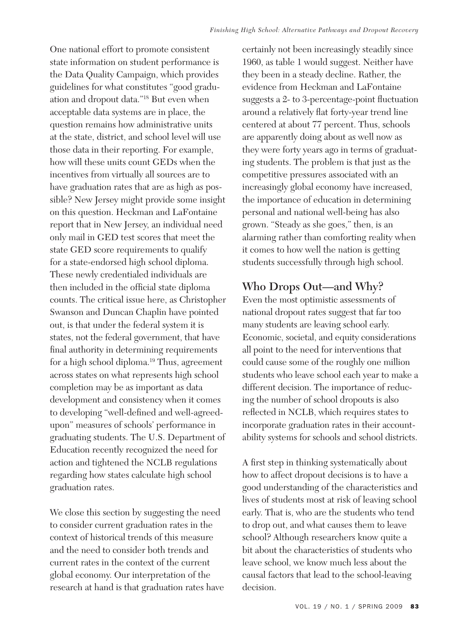One national effort to promote consistent state information on student performance is the Data Quality Campaign, which provides guidelines for what constitutes "good graduation and dropout data."18 But even when acceptable data systems are in place, the question remains how administrative units at the state, district, and school level will use those data in their reporting. For example, how will these units count GEDs when the incentives from virtually all sources are to have graduation rates that are as high as possible? New Jersey might provide some insight on this question. Heckman and LaFontaine report that in New Jersey, an individual need only mail in GED test scores that meet the state GED score requirements to qualify for a state-endorsed high school diploma. These newly credentialed individuals are then included in the official state diploma counts. The critical issue here, as Christopher Swanson and Duncan Chaplin have pointed out, is that under the federal system it is states, not the federal government, that have final authority in determining requirements for a high school diploma.19 Thus, agreement across states on what represents high school completion may be as important as data development and consistency when it comes to developing "well-defined and well-agreedupon" measures of schools' performance in graduating students. The U.S. Department of Education recently recognized the need for action and tightened the NCLB regulations regarding how states calculate high school graduation rates.

We close this section by suggesting the need to consider current graduation rates in the context of historical trends of this measure and the need to consider both trends and current rates in the context of the current global economy. Our interpretation of the research at hand is that graduation rates have

certainly not been increasingly steadily since 1960, as table 1 would suggest. Neither have they been in a steady decline. Rather, the evidence from Heckman and LaFontaine suggests a 2- to 3-percentage-point fluctuation around a relatively flat forty-year trend line centered at about 77 percent. Thus, schools are apparently doing about as well now as they were forty years ago in terms of graduating students. The problem is that just as the competitive pressures associated with an increasingly global economy have increased, the importance of education in determining personal and national well-being has also grown. "Steady as she goes," then, is an alarming rather than comforting reality when it comes to how well the nation is getting students successfully through high school.

# **Who Drops Out—and Why?**

Even the most optimistic assessments of national dropout rates suggest that far too many students are leaving school early. Economic, societal, and equity considerations all point to the need for interventions that could cause some of the roughly one million students who leave school each year to make a different decision. The importance of reducing the number of school dropouts is also reflected in NCLB, which requires states to incorporate graduation rates in their accountability systems for schools and school districts.

A first step in thinking systematically about how to affect dropout decisions is to have a good understanding of the characteristics and lives of students most at risk of leaving school early. That is, who are the students who tend to drop out, and what causes them to leave school? Although researchers know quite a bit about the characteristics of students who leave school, we know much less about the causal factors that lead to the school-leaving decision.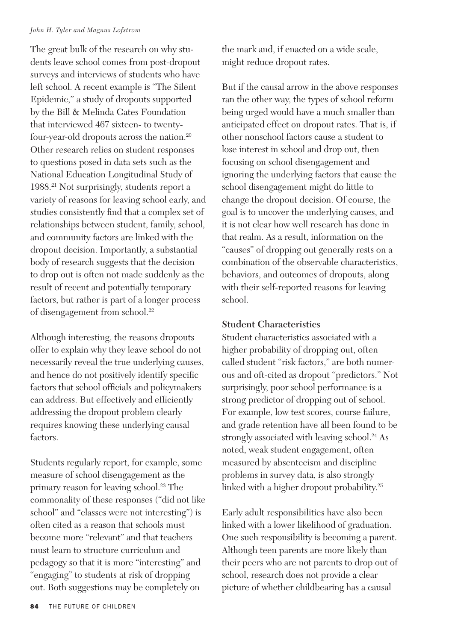The great bulk of the research on why students leave school comes from post-dropout surveys and interviews of students who have left school. A recent example is "The Silent Epidemic," a study of dropouts supported by the Bill & Melinda Gates Foundation that interviewed 467 sixteen- to twentyfour-year-old dropouts across the nation.20 Other research relies on student responses to questions posed in data sets such as the National Education Longitudinal Study of 1988.21 Not surprisingly, students report a variety of reasons for leaving school early, and studies consistently find that a complex set of relationships between student, family, school, and community factors are linked with the dropout decision. Importantly, a substantial body of research suggests that the decision to drop out is often not made suddenly as the result of recent and potentially temporary factors, but rather is part of a longer process of disengagement from school.<sup>22</sup>

Although interesting, the reasons dropouts offer to explain why they leave school do not necessarily reveal the true underlying causes, and hence do not positively identify specific factors that school officials and policymakers can address. But effectively and efficiently addressing the dropout problem clearly requires knowing these underlying causal factors.

Students regularly report, for example, some measure of school disengagement as the primary reason for leaving school.23 The commonality of these responses ("did not like school" and "classes were not interesting") is often cited as a reason that schools must become more "relevant" and that teachers must learn to structure curriculum and pedagogy so that it is more "interesting" and "engaging" to students at risk of dropping out. Both suggestions may be completely on

the mark and, if enacted on a wide scale, might reduce dropout rates.

But if the causal arrow in the above responses ran the other way, the types of school reform being urged would have a much smaller than anticipated effect on dropout rates. That is, if other nonschool factors cause a student to lose interest in school and drop out, then focusing on school disengagement and ignoring the underlying factors that cause the school disengagement might do little to change the dropout decision. Of course, the goal is to uncover the underlying causes, and it is not clear how well research has done in that realm. As a result, information on the "causes" of dropping out generally rests on a combination of the observable characteristics, behaviors, and outcomes of dropouts, along with their self-reported reasons for leaving school.

### **Student Characteristics**

Student characteristics associated with a higher probability of dropping out, often called student "risk factors," are both numerous and oft-cited as dropout "predictors." Not surprisingly, poor school performance is a strong predictor of dropping out of school. For example, low test scores, course failure, and grade retention have all been found to be strongly associated with leaving school.<sup>24</sup> As noted, weak student engagement, often measured by absenteeism and discipline problems in survey data, is also strongly linked with a higher dropout probability.25

Early adult responsibilities have also been linked with a lower likelihood of graduation. One such responsibility is becoming a parent. Although teen parents are more likely than their peers who are not parents to drop out of school, research does not provide a clear picture of whether childbearing has a causal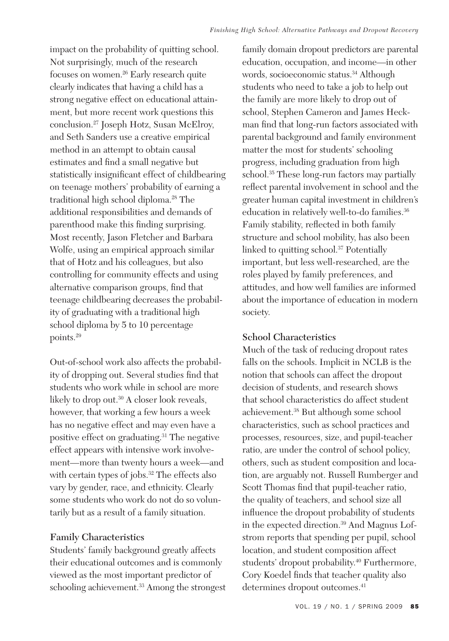impact on the probability of quitting school. Not surprisingly, much of the research focuses on women.26 Early research quite clearly indicates that having a child has a strong negative effect on educational attainment, but more recent work questions this conclusion.27 Joseph Hotz, Susan McElroy, and Seth Sanders use a creative empirical method in an attempt to obtain causal estimates and find a small negative but statistically insignificant effect of childbearing on teenage mothers' probability of earning a traditional high school diploma.28 The additional responsibilities and demands of parenthood make this finding surprising. Most recently, Jason Fletcher and Barbara Wolfe, using an empirical approach similar that of Hotz and his colleagues, but also controlling for community effects and using alternative comparison groups, find that teenage childbearing decreases the probability of graduating with a traditional high school diploma by 5 to 10 percentage points.29

Out-of-school work also affects the probability of dropping out. Several studies find that students who work while in school are more likely to drop out.<sup>30</sup> A closer look reveals, however, that working a few hours a week has no negative effect and may even have a positive effect on graduating.<sup>31</sup> The negative effect appears with intensive work involvement—more than twenty hours a week—and with certain types of jobs.<sup>32</sup> The effects also vary by gender, race, and ethnicity. Clearly some students who work do not do so voluntarily but as a result of a family situation.

# **Family Characteristics**

Students' family background greatly affects their educational outcomes and is commonly viewed as the most important predictor of schooling achievement.<sup>33</sup> Among the strongest

family domain dropout predictors are parental education, occupation, and income—in other words, socioeconomic status.<sup>34</sup> Although students who need to take a job to help out the family are more likely to drop out of school, Stephen Cameron and James Heckman find that long-run factors associated with parental background and family environment matter the most for students' schooling progress, including graduation from high school.35 These long-run factors may partially reflect parental involvement in school and the greater human capital investment in children's education in relatively well-to-do families.36 Family stability, reflected in both family structure and school mobility, has also been linked to quitting school.<sup>37</sup> Potentially important, but less well-researched, are the roles played by family preferences, and attitudes, and how well families are informed about the importance of education in modern society.

# **School Characteristics**

Much of the task of reducing dropout rates falls on the schools. Implicit in NCLB is the notion that schools can affect the dropout decision of students, and research shows that school characteristics do affect student achievement.38 But although some school characteristics, such as school practices and processes, resources, size, and pupil-teacher ratio, are under the control of school policy, others, such as student composition and location, are arguably not. Russell Rumberger and Scott Thomas find that pupil-teacher ratio, the quality of teachers, and school size all influence the dropout probability of students in the expected direction.39 And Magnus Lofstrom reports that spending per pupil, school location, and student composition affect students' dropout probability.<sup>40</sup> Furthermore, Cory Koedel finds that teacher quality also determines dropout outcomes.<sup>41</sup>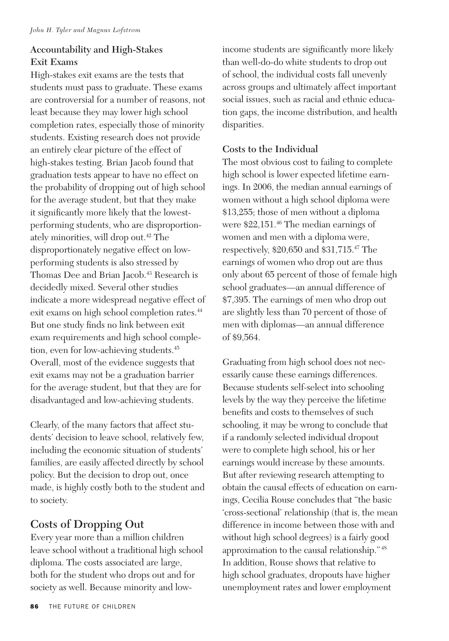# **Accountability and High-Stakes Exit Exams**

High-stakes exit exams are the tests that students must pass to graduate. These exams are controversial for a number of reasons, not least because they may lower high school completion rates, especially those of minority students. Existing research does not provide an entirely clear picture of the effect of high-stakes testing. Brian Jacob found that graduation tests appear to have no effect on the probability of dropping out of high school for the average student, but that they make it significantly more likely that the lowestperforming students, who are disproportionately minorities, will drop out.<sup>42</sup> The disproportionately negative effect on lowperforming students is also stressed by Thomas Dee and Brian Jacob.<sup>43</sup> Research is decidedly mixed. Several other studies indicate a more widespread negative effect of exit exams on high school completion rates.<sup>44</sup> But one study finds no link between exit exam requirements and high school completion, even for low-achieving students.45 Overall, most of the evidence suggests that exit exams may not be a graduation barrier for the average student, but that they are for disadvantaged and low-achieving students.

Clearly, of the many factors that affect students' decision to leave school, relatively few, including the economic situation of students' families, are easily affected directly by school policy. But the decision to drop out, once made, is highly costly both to the student and to society.

# **Costs of Dropping Out**

Every year more than a million children leave school without a traditional high school diploma. The costs associated are large, both for the student who drops out and for society as well. Because minority and lowincome students are significantly more likely than well-do-do white students to drop out of school, the individual costs fall unevenly across groups and ultimately affect important social issues, such as racial and ethnic education gaps, the income distribution, and health disparities.

# **Costs to the Individual**

The most obvious cost to failing to complete high school is lower expected lifetime earnings. In 2006, the median annual earnings of women without a high school diploma were \$13,255; those of men without a diploma were \$22,151.46 The median earnings of women and men with a diploma were, respectively, \$20,650 and \$31,715.47 The earnings of women who drop out are thus only about 65 percent of those of female high school graduates—an annual difference of \$7,395. The earnings of men who drop out are slightly less than 70 percent of those of men with diplomas—an annual difference of \$9,564.

Graduating from high school does not necessarily cause these earnings differences. Because students self-select into schooling levels by the way they perceive the lifetime benefits and costs to themselves of such schooling, it may be wrong to conclude that if a randomly selected individual dropout were to complete high school, his or her earnings would increase by these amounts. But after reviewing research attempting to obtain the causal effects of education on earnings, Cecilia Rouse concludes that "the basic 'cross-sectional' relationship (that is, the mean difference in income between those with and without high school degrees) is a fairly good approximation to the causal relationship." <sup>48</sup> In addition, Rouse shows that relative to high school graduates, dropouts have higher unemployment rates and lower employment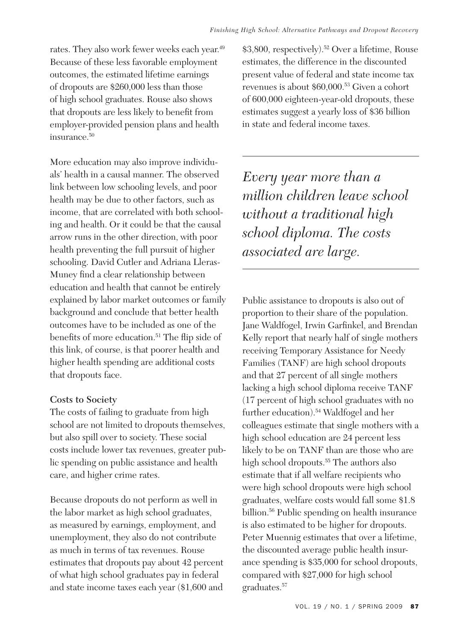rates. They also work fewer weeks each year.49 Because of these less favorable employment outcomes, the estimated lifetime earnings of dropouts are \$260,000 less than those of high school graduates. Rouse also shows that dropouts are less likely to benefit from employer-provided pension plans and health insurance.50

More education may also improve individuals' health in a causal manner. The observed link between low schooling levels, and poor health may be due to other factors, such as income, that are correlated with both schooling and health. Or it could be that the causal arrow runs in the other direction, with poor health preventing the full pursuit of higher schooling. David Cutler and Adriana Lleras-Muney find a clear relationship between education and health that cannot be entirely explained by labor market outcomes or family background and conclude that better health outcomes have to be included as one of the benefits of more education.<sup>51</sup> The flip side of this link, of course, is that poorer health and higher health spending are additional costs that dropouts face.

# **Costs to Society**

The costs of failing to graduate from high school are not limited to dropouts themselves, but also spill over to society. These social costs include lower tax revenues, greater public spending on public assistance and health care, and higher crime rates.

Because dropouts do not perform as well in the labor market as high school graduates, as measured by earnings, employment, and unemployment, they also do not contribute as much in terms of tax revenues. Rouse estimates that dropouts pay about 42 percent of what high school graduates pay in federal and state income taxes each year (\$1,600 and

\$3,800, respectively).52 Over a lifetime, Rouse estimates, the difference in the discounted present value of federal and state income tax revenues is about \$60,000.53 Given a cohort of 600,000 eighteen-year-old dropouts, these estimates suggest a yearly loss of \$36 billion in state and federal income taxes.

*Every year more than a million children leave school without a traditional high school diploma. The costs associated are large.*

Public assistance to dropouts is also out of proportion to their share of the population. Jane Waldfogel, Irwin Garfinkel, and Brendan Kelly report that nearly half of single mothers receiving Temporary Assistance for Needy Families (TANF) are high school dropouts and that 27 percent of all single mothers lacking a high school diploma receive TANF (17 percent of high school graduates with no further education).<sup>54</sup> Waldfogel and her colleagues estimate that single mothers with a high school education are 24 percent less likely to be on TANF than are those who are high school dropouts.<sup>55</sup> The authors also estimate that if all welfare recipients who were high school dropouts were high school graduates, welfare costs would fall some \$1.8 billion.<sup>56</sup> Public spending on health insurance is also estimated to be higher for dropouts. Peter Muennig estimates that over a lifetime, the discounted average public health insurance spending is \$35,000 for school dropouts, compared with \$27,000 for high school graduates.57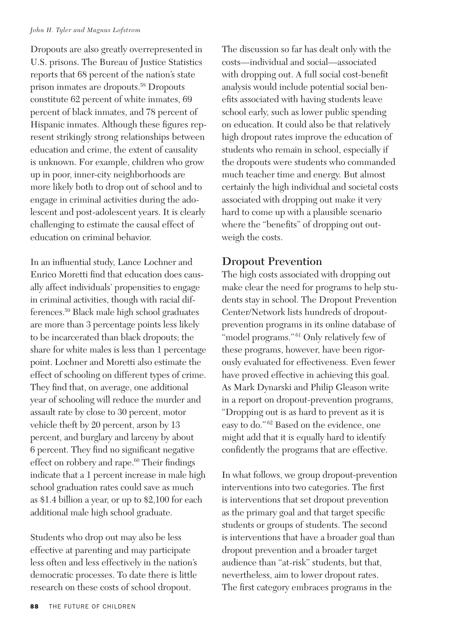Dropouts are also greatly overrepresented in U.S. prisons. The Bureau of Justice Statistics reports that 68 percent of the nation's state prison inmates are dropouts.<sup>58</sup> Dropouts constitute 62 percent of white inmates, 69 percent of black inmates, and 78 percent of Hispanic inmates. Although these figures represent strikingly strong relationships between education and crime, the extent of causality is unknown. For example, children who grow up in poor, inner-city neighborhoods are more likely both to drop out of school and to engage in criminal activities during the adolescent and post-adolescent years. It is clearly challenging to estimate the causal effect of education on criminal behavior.

In an influential study, Lance Lochner and Enrico Moretti find that education does causally affect individuals' propensities to engage in criminal activities, though with racial differences.59 Black male high school graduates are more than 3 percentage points less likely to be incarcerated than black dropouts; the share for white males is less than 1 percentage point. Lochner and Moretti also estimate the effect of schooling on different types of crime. They find that, on average, one additional year of schooling will reduce the murder and assault rate by close to 30 percent, motor vehicle theft by 20 percent, arson by 13 percent, and burglary and larceny by about 6 percent. They find no significant negative effect on robbery and rape.<sup>60</sup> Their findings indicate that a 1 percent increase in male high school graduation rates could save as much as \$1.4 billion a year, or up to \$2,100 for each additional male high school graduate.

Students who drop out may also be less effective at parenting and may participate less often and less effectively in the nation's democratic processes. To date there is little research on these costs of school dropout.

The discussion so far has dealt only with the costs—individual and social—associated with dropping out. A full social cost-benefit analysis would include potential social benefits associated with having students leave school early, such as lower public spending on education. It could also be that relatively high dropout rates improve the education of students who remain in school, especially if the dropouts were students who commanded much teacher time and energy. But almost certainly the high individual and societal costs associated with dropping out make it very hard to come up with a plausible scenario where the "benefits" of dropping out outweigh the costs.

# **Dropout Prevention**

The high costs associated with dropping out make clear the need for programs to help students stay in school. The Dropout Prevention Center/Network lists hundreds of dropoutprevention programs in its online database of "model programs." <sup>61</sup> Only relatively few of these programs, however, have been rigorously evaluated for effectiveness. Even fewer have proved effective in achieving this goal. As Mark Dynarski and Philip Gleason write in a report on dropout-prevention programs, "Dropping out is as hard to prevent as it is easy to do." 62 Based on the evidence, one might add that it is equally hard to identify confidently the programs that are effective.

In what follows, we group dropout-prevention interventions into two categories. The first is interventions that set dropout prevention as the primary goal and that target specific students or groups of students. The second is interventions that have a broader goal than dropout prevention and a broader target audience than "at-risk" students, but that, nevertheless, aim to lower dropout rates. The first category embraces programs in the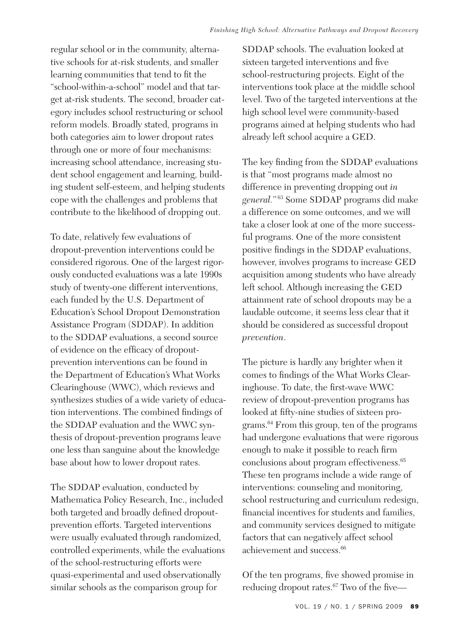regular school or in the community, alternative schools for at-risk students, and smaller learning communities that tend to fit the "school-within-a-school" model and that target at-risk students. The second, broader category includes school restructuring or school reform models. Broadly stated, programs in both categories aim to lower dropout rates through one or more of four mechanisms: increasing school attendance, increasing student school engagement and learning, building student self-esteem, and helping students cope with the challenges and problems that contribute to the likelihood of dropping out.

To date, relatively few evaluations of dropout-prevention interventions could be considered rigorous. One of the largest rigorously conducted evaluations was a late 1990s study of twenty-one different interventions, each funded by the U.S. Department of Education's School Dropout Demonstration Assistance Program (SDDAP). In addition to the SDDAP evaluations, a second source of evidence on the efficacy of dropoutprevention interventions can be found in the Department of Education's What Works Clearinghouse (WWC), which reviews and synthesizes studies of a wide variety of education interventions. The combined findings of the SDDAP evaluation and the WWC synthesis of dropout-prevention programs leave one less than sanguine about the knowledge base about how to lower dropout rates.

The SDDAP evaluation, conducted by Mathematica Policy Research, Inc., included both targeted and broadly defined dropoutprevention efforts. Targeted interventions were usually evaluated through randomized, controlled experiments, while the evaluations of the school-restructuring efforts were quasi-experimental and used observationally similar schools as the comparison group for

SDDAP schools. The evaluation looked at sixteen targeted interventions and five school-restructuring projects. Eight of the interventions took place at the middle school level. Two of the targeted interventions at the high school level were community-based programs aimed at helping students who had already left school acquire a GED.

The key finding from the SDDAP evaluations is that "most programs made almost no difference in preventing dropping out *in general.*" 63 Some SDDAP programs did make a difference on some outcomes, and we will take a closer look at one of the more successful programs. One of the more consistent positive findings in the SDDAP evaluations, however, involves programs to increase GED acquisition among students who have already left school. Although increasing the GED attainment rate of school dropouts may be a laudable outcome, it seems less clear that it should be considered as successful dropout *prevention*.

The picture is hardly any brighter when it comes to findings of the What Works Clearinghouse. To date, the first-wave WWC review of dropout-prevention programs has looked at fifty-nine studies of sixteen programs.64 From this group, ten of the programs had undergone evaluations that were rigorous enough to make it possible to reach firm conclusions about program effectiveness.65 These ten programs include a wide range of interventions: counseling and monitoring, school restructuring and curriculum redesign, financial incentives for students and families, and community services designed to mitigate factors that can negatively affect school achievement and success.66

Of the ten programs, five showed promise in reducing dropout rates.<sup>67</sup> Two of the five-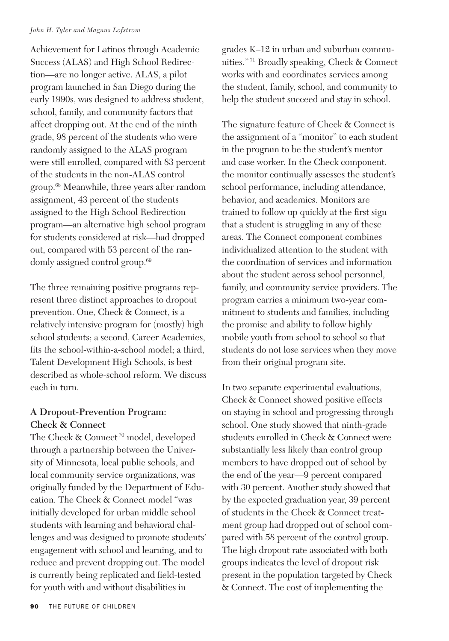Achievement for Latinos through Academic Success (ALAS) and High School Redirection—are no longer active. ALAS, a pilot program launched in San Diego during the early 1990s, was designed to address student, school, family, and community factors that affect dropping out. At the end of the ninth grade, 98 percent of the students who were randomly assigned to the ALAS program were still enrolled, compared with 83 percent of the students in the non-ALAS control group.68 Meanwhile, three years after random assignment, 43 percent of the students assigned to the High School Redirection program—an alternative high school program for students considered at risk—had dropped out, compared with 53 percent of the randomly assigned control group.69

The three remaining positive programs represent three distinct approaches to dropout prevention. One, Check & Connect, is a relatively intensive program for (mostly) high school students; a second, Career Academies, fits the school-within-a-school model; a third, Talent Development High Schools, is best described as whole-school reform. We discuss each in turn.

# **A Dropout-Prevention Program: Check & Connect**

The Check & Connect 70 model, developed through a partnership between the University of Minnesota, local public schools, and local community service organizations, was originally funded by the Department of Education. The Check & Connect model "was initially developed for urban middle school students with learning and behavioral challenges and was designed to promote students' engagement with school and learning, and to reduce and prevent dropping out. The model is currently being replicated and field-tested for youth with and without disabilities in

grades K–12 in urban and suburban communities." 71 Broadly speaking, Check & Connect works with and coordinates services among the student, family, school, and community to help the student succeed and stay in school.

The signature feature of Check & Connect is the assignment of a "monitor" to each student in the program to be the student's mentor and case worker. In the Check component, the monitor continually assesses the student's school performance, including attendance, behavior, and academics. Monitors are trained to follow up quickly at the first sign that a student is struggling in any of these areas. The Connect component combines individualized attention to the student with the coordination of services and information about the student across school personnel, family, and community service providers. The program carries a minimum two-year commitment to students and families, including the promise and ability to follow highly mobile youth from school to school so that students do not lose services when they move from their original program site.

In two separate experimental evaluations, Check & Connect showed positive effects on staying in school and progressing through school. One study showed that ninth-grade students enrolled in Check & Connect were substantially less likely than control group members to have dropped out of school by the end of the year—9 percent compared with 30 percent. Another study showed that by the expected graduation year, 39 percent of students in the Check & Connect treatment group had dropped out of school compared with 58 percent of the control group. The high dropout rate associated with both groups indicates the level of dropout risk present in the population targeted by Check & Connect. The cost of implementing the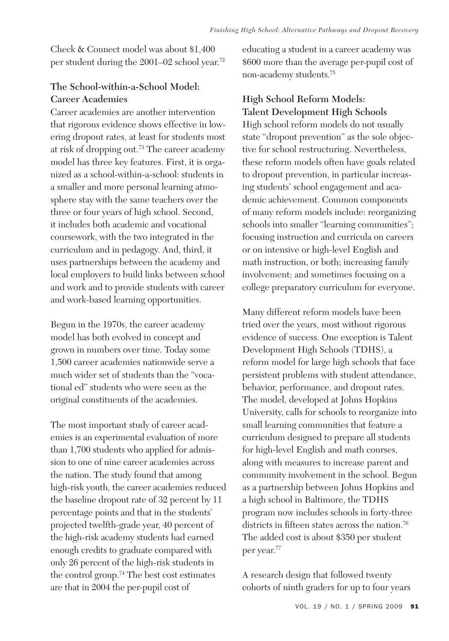Check & Connect model was about \$1,400 per student during the 2001–02 school year.72

# **The School-within-a-School Model: Career Academies**

Career academies are another intervention that rigorous evidence shows effective in lowering dropout rates, at least for students most at risk of dropping out.73 The career academy model has three key features. First, it is organized as a school-within-a-school: students in a smaller and more personal learning atmosphere stay with the same teachers over the three or four years of high school. Second, it includes both academic and vocational coursework, with the two integrated in the curriculum and in pedagogy. And, third, it uses partnerships between the academy and local employers to build links between school and work and to provide students with career and work-based learning opportunities.

Begun in the 1970s, the career academy model has both evolved in concept and grown in numbers over time. Today some 1,500 career academies nationwide serve a much wider set of students than the "vocational ed" students who were seen as the original constituents of the academies.

The most important study of career academies is an experimental evaluation of more than 1,700 students who applied for admission to one of nine career academies across the nation. The study found that among high-risk youth, the career academies reduced the baseline dropout rate of 32 percent by 11 percentage points and that in the students' projected twelfth-grade year, 40 percent of the high-risk academy students had earned enough credits to graduate compared with only 26 percent of the high-risk students in the control group.74 The best cost estimates are that in 2004 the per-pupil cost of

educating a student in a career academy was \$600 more than the average per-pupil cost of non-academy students.75

# **High School Reform Models: Talent Development High Schools**

High school reform models do not usually state "dropout prevention" as the sole objective for school restructuring. Nevertheless, these reform models often have goals related to dropout prevention, in particular increasing students' school engagement and academic achievement. Common components of many reform models include: reorganizing schools into smaller "learning communities"; focusing instruction and curricula on careers or on intensive or high-level English and math instruction, or both; increasing family involvement; and sometimes focusing on a college preparatory curriculum for everyone.

Many different reform models have been tried over the years, most without rigorous evidence of success. One exception is Talent Development High Schools (TDHS), a reform model for large high schools that face persistent problems with student attendance, behavior, performance, and dropout rates. The model, developed at Johns Hopkins University, calls for schools to reorganize into small learning communities that feature a curriculum designed to prepare all students for high-level English and math courses, along with measures to increase parent and community involvement in the school. Begun as a partnership between Johns Hopkins and a high school in Baltimore, the TDHS program now includes schools in forty-three districts in fifteen states across the nation.<sup>76</sup> The added cost is about \$350 per student per year.77

A research design that followed twenty cohorts of ninth graders for up to four years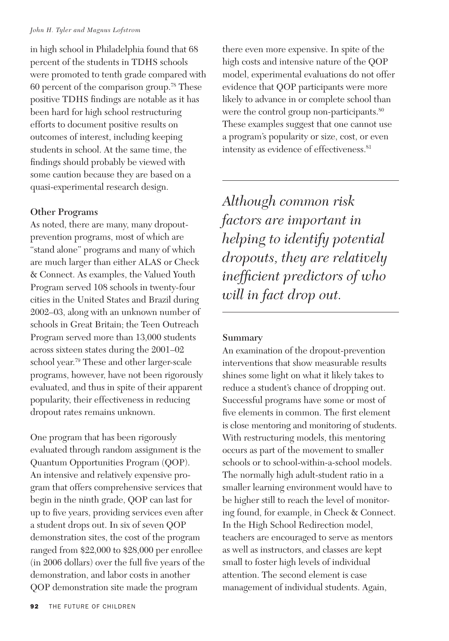in high school in Philadelphia found that 68 percent of the students in TDHS schools were promoted to tenth grade compared with 60 percent of the comparison group.78 These positive TDHS findings are notable as it has been hard for high school restructuring efforts to document positive results on outcomes of interest, including keeping students in school. At the same time, the findings should probably be viewed with some caution because they are based on a quasi-experimental research design.

### **Other Programs**

As noted, there are many, many dropoutprevention programs, most of which are "stand alone" programs and many of which are much larger than either ALAS or Check & Connect. As examples, the Valued Youth Program served 108 schools in twenty-four cities in the United States and Brazil during 2002–03, along with an unknown number of schools in Great Britain; the Teen Outreach Program served more than 13,000 students across sixteen states during the 2001–02 school year.79 These and other larger-scale programs, however, have not been rigorously evaluated, and thus in spite of their apparent popularity, their effectiveness in reducing dropout rates remains unknown.

One program that has been rigorously evaluated through random assignment is the Quantum Opportunities Program (QOP). An intensive and relatively expensive program that offers comprehensive services that begin in the ninth grade, QOP can last for up to five years, providing services even after a student drops out. In six of seven QOP demonstration sites, the cost of the program ranged from \$22,000 to \$28,000 per enrollee (in 2006 dollars) over the full five years of the demonstration, and labor costs in another QOP demonstration site made the program

there even more expensive. In spite of the high costs and intensive nature of the QOP model, experimental evaluations do not offer evidence that QOP participants were more likely to advance in or complete school than were the control group non-participants.<sup>80</sup> These examples suggest that one cannot use a program's popularity or size, cost, or even intensity as evidence of effectiveness.<sup>81</sup>

*Although common risk factors are important in helping to identify potential dropouts, they are relatively inefficient predictors of who will in fact drop out.*

### **Summary**

An examination of the dropout-prevention interventions that show measurable results shines some light on what it likely takes to reduce a student's chance of dropping out. Successful programs have some or most of five elements in common. The first element is close mentoring and monitoring of students. With restructuring models, this mentoring occurs as part of the movement to smaller schools or to school-within-a-school models. The normally high adult-student ratio in a smaller learning environment would have to be higher still to reach the level of monitoring found, for example, in Check & Connect. In the High School Redirection model, teachers are encouraged to serve as mentors as well as instructors, and classes are kept small to foster high levels of individual attention. The second element is case management of individual students. Again,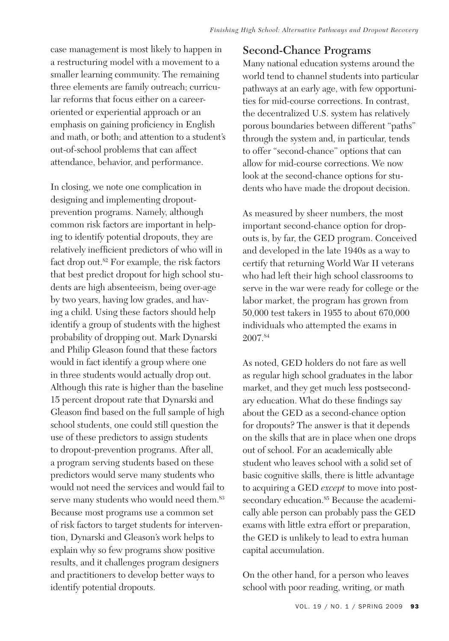case management is most likely to happen in a restructuring model with a movement to a smaller learning community. The remaining three elements are family outreach; curricular reforms that focus either on a careeroriented or experiential approach or an emphasis on gaining proficiency in English and math, or both; and attention to a student's out-of-school problems that can affect attendance, behavior, and performance.

In closing, we note one complication in designing and implementing dropoutprevention programs. Namely, although common risk factors are important in helping to identify potential dropouts, they are relatively inefficient predictors of who will in fact drop out.<sup>82</sup> For example, the risk factors that best predict dropout for high school students are high absenteeism, being over-age by two years, having low grades, and having a child. Using these factors should help identify a group of students with the highest probability of dropping out. Mark Dynarski and Philip Gleason found that these factors would in fact identify a group where one in three students would actually drop out. Although this rate is higher than the baseline 15 percent dropout rate that Dynarski and Gleason find based on the full sample of high school students, one could still question the use of these predictors to assign students to dropout-prevention programs. After all, a program serving students based on these predictors would serve many students who would not need the services and would fail to serve many students who would need them.<sup>83</sup> Because most programs use a common set of risk factors to target students for intervention, Dynarski and Gleason's work helps to explain why so few programs show positive results, and it challenges program designers and practitioners to develop better ways to identify potential dropouts.

# **Second-Chance Programs**

Many national education systems around the world tend to channel students into particular pathways at an early age, with few opportunities for mid-course corrections. In contrast, the decentralized U.S. system has relatively porous boundaries between different "paths" through the system and, in particular, tends to offer "second-chance" options that can allow for mid-course corrections. We now look at the second-chance options for students who have made the dropout decision.

As measured by sheer numbers, the most important second-chance option for dropouts is, by far, the GED program. Conceived and developed in the late 1940s as a way to certify that returning World War II veterans who had left their high school classrooms to serve in the war were ready for college or the labor market, the program has grown from 50,000 test takers in 1955 to about 670,000 individuals who attempted the exams in 2007.84

As noted, GED holders do not fare as well as regular high school graduates in the labor market, and they get much less postsecondary education. What do these findings say about the GED as a second-chance option for dropouts? The answer is that it depends on the skills that are in place when one drops out of school. For an academically able student who leaves school with a solid set of basic cognitive skills, there is little advantage to acquiring a GED *except* to move into postsecondary education.<sup>85</sup> Because the academically able person can probably pass the GED exams with little extra effort or preparation, the GED is unlikely to lead to extra human capital accumulation.

On the other hand, for a person who leaves school with poor reading, writing, or math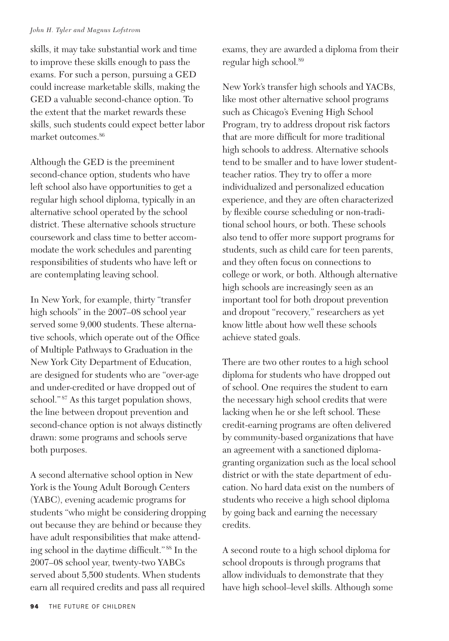skills, it may take substantial work and time to improve these skills enough to pass the exams. For such a person, pursuing a GED could increase marketable skills, making the GED a valuable second-chance option. To the extent that the market rewards these skills, such students could expect better labor market outcomes.86

Although the GED is the preeminent second-chance option, students who have left school also have opportunities to get a regular high school diploma, typically in an alternative school operated by the school district. These alternative schools structure coursework and class time to better accommodate the work schedules and parenting responsibilities of students who have left or are contemplating leaving school.

In New York, for example, thirty "transfer high schools" in the 2007–08 school year served some 9,000 students. These alternative schools, which operate out of the Office of Multiple Pathways to Graduation in the New York City Department of Education, are designed for students who are "over-age and under-credited or have dropped out of school."<sup>87</sup> As this target population shows, the line between dropout prevention and second-chance option is not always distinctly drawn: some programs and schools serve both purposes.

A second alternative school option in New York is the Young Adult Borough Centers (YABC), evening academic programs for students "who might be considering dropping out because they are behind or because they have adult responsibilities that make attending school in the daytime difficult." 88 In the 2007–08 school year, twenty-two YABCs served about 5,500 students. When students earn all required credits and pass all required

exams, they are awarded a diploma from their regular high school.89

New York's transfer high schools and YACBs, like most other alternative school programs such as Chicago's Evening High School Program, try to address dropout risk factors that are more difficult for more traditional high schools to address. Alternative schools tend to be smaller and to have lower studentteacher ratios. They try to offer a more individualized and personalized education experience, and they are often characterized by flexible course scheduling or non-traditional school hours, or both. These schools also tend to offer more support programs for students, such as child care for teen parents, and they often focus on connections to college or work, or both. Although alternative high schools are increasingly seen as an important tool for both dropout prevention and dropout "recovery," researchers as yet know little about how well these schools achieve stated goals.

There are two other routes to a high school diploma for students who have dropped out of school. One requires the student to earn the necessary high school credits that were lacking when he or she left school. These credit-earning programs are often delivered by community-based organizations that have an agreement with a sanctioned diplomagranting organization such as the local school district or with the state department of education. No hard data exist on the numbers of students who receive a high school diploma by going back and earning the necessary credits.

A second route to a high school diploma for school dropouts is through programs that allow individuals to demonstrate that they have high school–level skills. Although some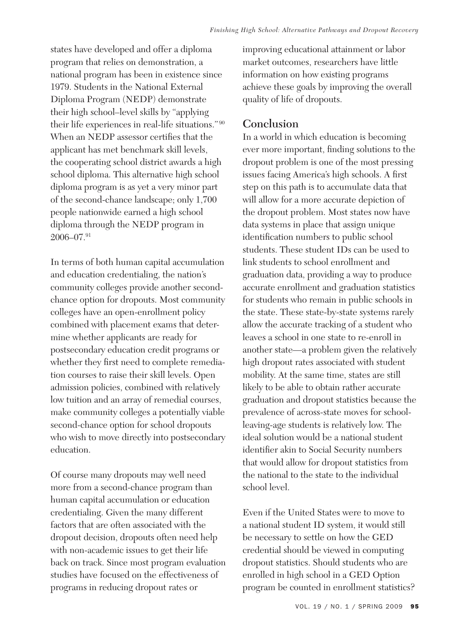states have developed and offer a diploma program that relies on demonstration, a national program has been in existence since 1979. Students in the National External Diploma Program (NEDP) demonstrate their high school–level skills by "applying their life experiences in real-life situations." <sup>90</sup> When an NEDP assessor certifies that the applicant has met benchmark skill levels, the cooperating school district awards a high school diploma. This alternative high school diploma program is as yet a very minor part of the second-chance landscape; only 1,700 people nationwide earned a high school diploma through the NEDP program in 2006–07.91

In terms of both human capital accumulation and education credentialing, the nation's community colleges provide another secondchance option for dropouts. Most community colleges have an open-enrollment policy combined with placement exams that determine whether applicants are ready for postsecondary education credit programs or whether they first need to complete remediation courses to raise their skill levels. Open admission policies, combined with relatively low tuition and an array of remedial courses, make community colleges a potentially viable second-chance option for school dropouts who wish to move directly into postsecondary education.

Of course many dropouts may well need more from a second-chance program than human capital accumulation or education credentialing. Given the many different factors that are often associated with the dropout decision, dropouts often need help with non-academic issues to get their life back on track. Since most program evaluation studies have focused on the effectiveness of programs in reducing dropout rates or

improving educational attainment or labor market outcomes, researchers have little information on how existing programs achieve these goals by improving the overall quality of life of dropouts.

# **Conclusion**

In a world in which education is becoming ever more important, finding solutions to the dropout problem is one of the most pressing issues facing America's high schools. A first step on this path is to accumulate data that will allow for a more accurate depiction of the dropout problem. Most states now have data systems in place that assign unique identification numbers to public school students. These student IDs can be used to link students to school enrollment and graduation data, providing a way to produce accurate enrollment and graduation statistics for students who remain in public schools in the state. These state-by-state systems rarely allow the accurate tracking of a student who leaves a school in one state to re-enroll in another state—a problem given the relatively high dropout rates associated with student mobility. At the same time, states are still likely to be able to obtain rather accurate graduation and dropout statistics because the prevalence of across-state moves for schoolleaving-age students is relatively low. The ideal solution would be a national student identifier akin to Social Security numbers that would allow for dropout statistics from the national to the state to the individual school level.

Even if the United States were to move to a national student ID system, it would still be necessary to settle on how the GED credential should be viewed in computing dropout statistics. Should students who are enrolled in high school in a GED Option program be counted in enrollment statistics?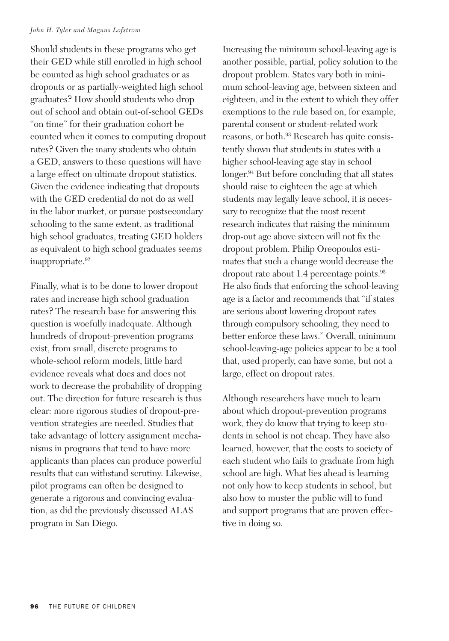Should students in these programs who get their GED while still enrolled in high school be counted as high school graduates or as dropouts or as partially-weighted high school graduates? How should students who drop out of school and obtain out-of-school GEDs "on time" for their graduation cohort be counted when it comes to computing dropout rates? Given the many students who obtain a GED, answers to these questions will have a large effect on ultimate dropout statistics. Given the evidence indicating that dropouts with the GED credential do not do as well in the labor market, or pursue postsecondary schooling to the same extent, as traditional high school graduates, treating GED holders as equivalent to high school graduates seems inappropriate.<sup>92</sup>

Finally, what is to be done to lower dropout rates and increase high school graduation rates? The research base for answering this question is woefully inadequate. Although hundreds of dropout-prevention programs exist, from small, discrete programs to whole-school reform models, little hard evidence reveals what does and does not work to decrease the probability of dropping out. The direction for future research is thus clear: more rigorous studies of dropout-prevention strategies are needed. Studies that take advantage of lottery assignment mechanisms in programs that tend to have more applicants than places can produce powerful results that can withstand scrutiny. Likewise, pilot programs can often be designed to generate a rigorous and convincing evaluation, as did the previously discussed ALAS program in San Diego.

Increasing the minimum school-leaving age is another possible, partial, policy solution to the dropout problem. States vary both in minimum school-leaving age, between sixteen and eighteen, and in the extent to which they offer exemptions to the rule based on, for example, parental consent or student-related work reasons, or both.<sup>93</sup> Research has quite consistently shown that students in states with a higher school-leaving age stay in school longer.94 But before concluding that all states should raise to eighteen the age at which students may legally leave school, it is necessary to recognize that the most recent research indicates that raising the minimum drop-out age above sixteen will not fix the dropout problem. Philip Oreopoulos estimates that such a change would decrease the dropout rate about 1.4 percentage points.<sup>95</sup> He also finds that enforcing the school-leaving age is a factor and recommends that "if states are serious about lowering dropout rates through compulsory schooling, they need to better enforce these laws." Overall, minimum school-leaving-age policies appear to be a tool that, used properly, can have some, but not a large, effect on dropout rates.

Although researchers have much to learn about which dropout-prevention programs work, they do know that trying to keep students in school is not cheap. They have also learned, however, that the costs to society of each student who fails to graduate from high school are high. What lies ahead is learning not only how to keep students in school, but also how to muster the public will to fund and support programs that are proven effective in doing so.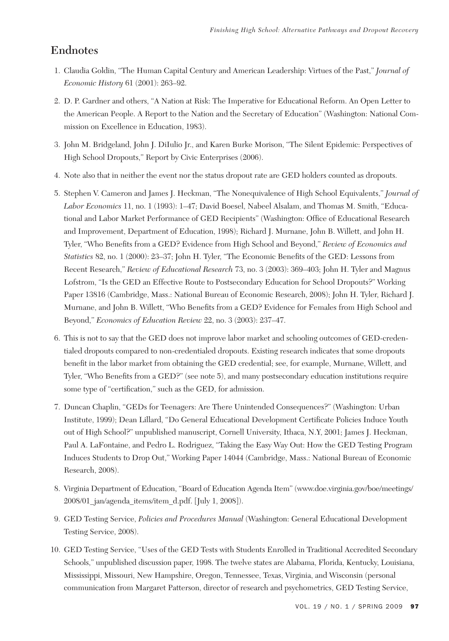# **Endnotes**

- 1. Claudia Goldin, "The Human Capital Century and American Leadership: Virtues of the Past," *Journal of Economic History* 61 (2001): 263–92.
- 2. D. P. Gardner and others, "A Nation at Risk: The Imperative for Educational Reform. An Open Letter to the American People. A Report to the Nation and the Secretary of Education" (Washington: National Commission on Excellence in Education, 1983).
- 3. John M. Bridgeland, John J. DiIulio Jr., and Karen Burke Morison, "The Silent Epidemic: Perspectives of High School Dropouts," Report by Civic Enterprises (2006).
- 4. Note also that in neither the event nor the status dropout rate are GED holders counted as dropouts.
- 5. Stephen V. Cameron and James J. Heckman, "The Nonequivalence of High School Equivalents," *Journal of Labor Economics* 11, no. 1 (1993): 1–47; David Boesel, Nabeel Alsalam, and Thomas M. Smith, "Educational and Labor Market Performance of GED Recipients" (Washington: Office of Educational Research and Improvement, Department of Education, 1998); Richard J. Murnane, John B. Willett, and John H. Tyler, "Who Benefits from a GED? Evidence from High School and Beyond," *Review of Economics and Statistics* 82, no. 1 (2000): 23–37; John H. Tyler, "The Economic Benefits of the GED: Lessons from Recent Research," *Review of Educational Research* 73, no. 3 (2003): 369–403; John H. Tyler and Magnus Lofstrom, "Is the GED an Effective Route to Postsecondary Education for School Dropouts?" Working Paper 13816 (Cambridge, Mass.: National Bureau of Economic Research, 2008); John H. Tyler, Richard J. Murnane, and John B. Willett, "Who Benefits from a GED? Evidence for Females from High School and Beyond," *Economics of Education Review* 22, no. 3 (2003): 237–47.
- 6. This is not to say that the GED does not improve labor market and schooling outcomes of GED-credentialed dropouts compared to non-credentialed dropouts. Existing research indicates that some dropouts benefit in the labor market from obtaining the GED credential; see, for example, Murnane, Willett, and Tyler, "Who Benefits from a GED?" (see note 5), and many postsecondary education institutions require some type of "certification," such as the GED, for admission.
- 7. Duncan Chaplin, "GEDs for Teenagers: Are There Unintended Consequences?" (Washington: Urban Institute, 1999); Dean Lillard, "Do General Educational Development Certificate Policies Induce Youth out of High School?" unpublished manuscript, Cornell University, Ithaca, N.Y, 2001; James J. Heckman, Paul A. LaFontaine, and Pedro L. Rodriguez, "Taking the Easy Way Out: How the GED Testing Program Induces Students to Drop Out," Working Paper 14044 (Cambridge, Mass.: National Bureau of Economic Research, 2008).
- 8. Virginia Department of Education, "Board of Education Agenda Item" (www.doe.virginia.gov/boe/meetings/ 2008/01\_jan/agenda\_items/item\_d.pdf. [July 1, 2008]).
- 9. GED Testing Service, *Policies and Procedures Manual* (Washington: General Educational Development Testing Service, 2008).
- 10. GED Testing Service, "Uses of the GED Tests with Students Enrolled in Traditional Accredited Secondary Schools," unpublished discussion paper, 1998. The twelve states are Alabama, Florida, Kentucky, Louisiana, Mississippi, Missouri, New Hampshire, Oregon, Tennessee, Texas, Virginia, and Wisconsin (personal communication from Margaret Patterson, director of research and psychometrics, GED Testing Service,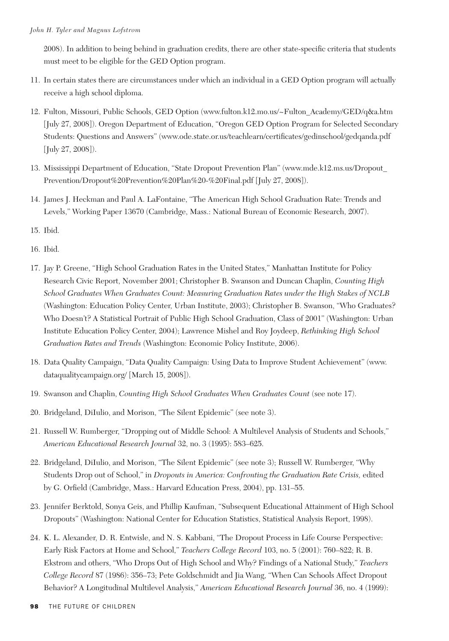2008). In addition to being behind in graduation credits, there are other state-specific criteria that students must meet to be eligible for the GED Option program.

- 11. In certain states there are circumstances under which an individual in a GED Option program will actually receive a high school diploma.
- 12. Fulton, Missouri, Public Schools, GED Option (www.fulton.k12.mo.us/~Fulton\_Academy/GED/q&a.htm [July 27, 2008]). Oregon Department of Education, "Oregon GED Option Program for Selected Secondary Students: Questions and Answers" (www.ode.state.or.us/teachlearn/certificates/gedinschool/gedqanda.pdf [July 27, 2008]).
- 13. Mississippi Department of Education, "State Dropout Prevention Plan" (www.mde.k12.ms.us/Dropout\_ Prevention/Dropout%20Prevention%20Plan%20-%20Final.pdf [July 27, 2008]).
- 14. James J. Heckman and Paul A. LaFontaine, "The American High School Graduation Rate: Trends and Levels," Working Paper 13670 (Cambridge, Mass.: National Bureau of Economic Research, 2007).
- 15. Ibid.
- 16. Ibid.
- 17. Jay P. Greene, "High School Graduation Rates in the United States," Manhattan Institute for Policy Research Civic Report, November 2001; Christopher B. Swanson and Duncan Chaplin, *Counting High School Graduates When Graduates Count: Measuring Graduation Rates under the High Stakes of NCLB* (Washington: Education Policy Center, Urban Institute, 2003); Christopher B. Swanson, "Who Graduates? Who Doesn't? A Statistical Portrait of Public High School Graduation, Class of 2001" (Washington: Urban Institute Education Policy Center, 2004); Lawrence Mishel and Roy Joydeep, *Rethinking High School Graduation Rates and Trends* (Washington: Economic Policy Institute, 2006).
- 18. Data Quality Campaign, "Data Quality Campaign: Using Data to Improve Student Achievement" (www. dataqualitycampaign.org/ [March 15, 2008]).
- 19. Swanson and Chaplin, *Counting High School Graduates When Graduates Count* (see note 17).
- 20. Bridgeland, DiIulio, and Morison, "The Silent Epidemic" (see note 3).
- 21. Russell W. Rumberger, "Dropping out of Middle School: A Multilevel Analysis of Students and Schools," *American Educational Research Journal* 32, no. 3 (1995): 583–625.
- 22. Bridgeland, DiIulio, and Morison, "The Silent Epidemic" (see note 3); Russell W. Rumberger, "Why Students Drop out of School," in *Dropouts in America: Confronting the Graduation Rate Crisis,* edited by G. Orfield (Cambridge, Mass.: Harvard Education Press, 2004), pp. 131–55.
- 23. Jennifer Berktold, Sonya Geis, and Phillip Kaufman, "Subsequent Educational Attainment of High School Dropouts" (Washington: National Center for Education Statistics, Statistical Analysis Report, 1998).
- 24. K. L. Alexander, D. R. Entwisle, and N. S. Kabbani, "The Dropout Process in Life Course Perspective: Early Risk Factors at Home and School," *Teachers College Record* 103, no. 5 (2001): 760–822; R. B. Ekstrom and others, "Who Drops Out of High School and Why? Findings of a National Study," *Teachers College Record* 87 (1986): 356–73; Pete Goldschmidt and Jia Wang, "When Can Schools Affect Dropout Behavior? A Longitudinal Multilevel Analysis," *American Educational Research Journal* 36, no. 4 (1999):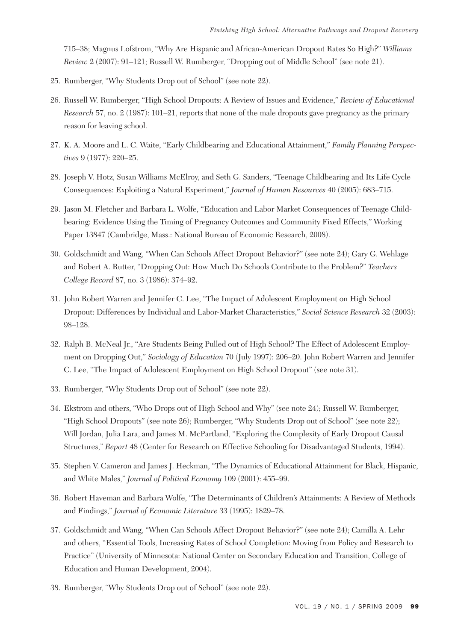715–38; Magnus Lofstrom, "Why Are Hispanic and African-American Dropout Rates So High?" *Williams Review* 2 (2007): 91–121; Russell W. Rumberger, "Dropping out of Middle School" (see note 21).

- 25. Rumberger, "Why Students Drop out of School" (see note 22).
- 26. Russell W. Rumberger, "High School Dropouts: A Review of Issues and Evidence," *Review of Educational Research* 57, no. 2 (1987): 101–21, reports that none of the male dropouts gave pregnancy as the primary reason for leaving school.
- 27. K. A. Moore and L. C. Waite, "Early Childbearing and Educational Attainment," *Family Planning Perspectives* 9 (1977): 220–25.
- 28. Joseph V. Hotz, Susan Williams McElroy, and Seth G. Sanders, "Teenage Childbearing and Its Life Cycle Consequences: Exploiting a Natural Experiment," *Journal of Human Resources* 40 (2005): 683–715.
- 29. Jason M. Fletcher and Barbara L. Wolfe, "Education and Labor Market Consequences of Teenage Childbearing: Evidence Using the Timing of Pregnancy Outcomes and Community Fixed Effects," Working Paper 13847 (Cambridge, Mass.: National Bureau of Economic Research, 2008).
- 30. Goldschmidt and Wang, "When Can Schools Affect Dropout Behavior?" (see note 24); Gary G. Wehlage and Robert A. Rutter, "Dropping Out: How Much Do Schools Contribute to the Problem?" *Teachers College Record* 87, no. 3 (1986): 374–92.
- 31. John Robert Warren and Jennifer C. Lee, "The Impact of Adolescent Employment on High School Dropout: Differences by Individual and Labor-Market Characteristics," *Social Science Research* 32 (2003): 98–128.
- 32. Ralph B. McNeal Jr., "Are Students Being Pulled out of High School? The Effect of Adolescent Employment on Dropping Out," *Sociology of Education* 70 (July 1997): 206–20. John Robert Warren and Jennifer C. Lee, "The Impact of Adolescent Employment on High School Dropout" (see note 31).
- 33. Rumberger, "Why Students Drop out of School" (see note 22).
- 34. Ekstrom and others, "Who Drops out of High School and Why" (see note 24); Russell W. Rumberger, "High School Dropouts" (see note 26); Rumberger, "Why Students Drop out of School" (see note 22); Will Jordan, Julia Lara, and James M. McPartland, "Exploring the Complexity of Early Dropout Causal Structures," *Report* 48 (Center for Research on Effective Schooling for Disadvantaged Students, 1994).
- 35. Stephen V. Cameron and James J. Heckman, "The Dynamics of Educational Attainment for Black, Hispanic, and White Males," *Journal of Political Economy* 109 (2001): 455–99.
- 36. Robert Haveman and Barbara Wolfe, "The Determinants of Children's Attainments: A Review of Methods and Findings," *Journal of Economic Literature* 33 (1995): 1829–78.
- 37. Goldschmidt and Wang, "When Can Schools Affect Dropout Behavior?" (see note 24); Camilla A. Lehr and others, "Essential Tools, Increasing Rates of School Completion: Moving from Policy and Research to Practice" (University of Minnesota: National Center on Secondary Education and Transition, College of Education and Human Development, 2004).
- 38. Rumberger, "Why Students Drop out of School" (see note 22).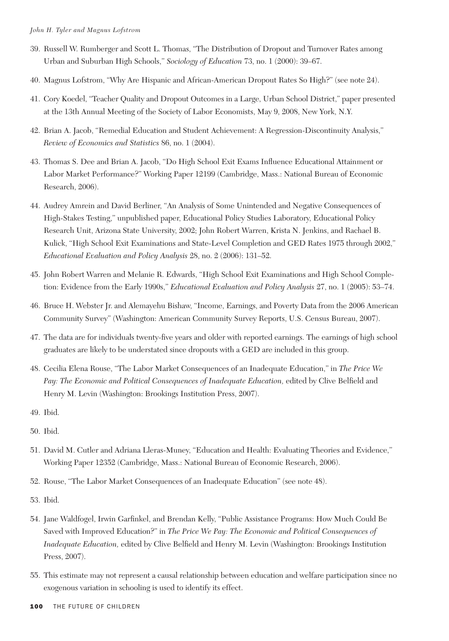- 39. Russell W. Rumberger and Scott L. Thomas, "The Distribution of Dropout and Turnover Rates among Urban and Suburban High Schools," *Sociology of Education* 73, no. 1 (2000): 39–67.
- 40. Magnus Lofstrom, "Why Are Hispanic and African-American Dropout Rates So High?" (see note 24).
- 41. Cory Koedel, "Teacher Quality and Dropout Outcomes in a Large, Urban School District," paper presented at the 13th Annual Meeting of the Society of Labor Economists, May 9, 2008, New York, N.Y.
- 42. Brian A. Jacob, "Remedial Education and Student Achievement: A Regression-Discontinuity Analysis," *Review of Economics and Statistics* 86, no. 1 (2004).
- 43. Thomas S. Dee and Brian A. Jacob, "Do High School Exit Exams Influence Educational Attainment or Labor Market Performance?" Working Paper 12199 (Cambridge, Mass.: National Bureau of Economic Research, 2006).
- 44. Audrey Amrein and David Berliner, "An Analysis of Some Unintended and Negative Consequences of High-Stakes Testing," unpublished paper, Educational Policy Studies Laboratory, Educational Policy Research Unit, Arizona State University, 2002; John Robert Warren, Krista N. Jenkins, and Rachael B. Kulick, "High School Exit Examinations and State-Level Completion and GED Rates 1975 through 2002," *Educational Evaluation and Policy Analysis* 28, no. 2 (2006): 131–52.
- 45. John Robert Warren and Melanie R. Edwards, "High School Exit Examinations and High School Completion: Evidence from the Early 1990s," *Educational Evaluation and Policy Analysis* 27, no. 1 (2005): 53–74.
- 46. Bruce H. Webster Jr. and Alemayehu Bishaw, "Income, Earnings, and Poverty Data from the 2006 American Community Survey" (Washington: American Community Survey Reports, U.S. Census Bureau, 2007).
- 47. The data are for individuals twenty-five years and older with reported earnings. The earnings of high school graduates are likely to be understated since dropouts with a GED are included in this group.
- 48. Cecilia Elena Rouse, "The Labor Market Consequences of an Inadequate Education," in *The Price We Pay: The Economic and Political Consequences of Inadequate Education,* edited by Clive Belfield and Henry M. Levin (Washington: Brookings Institution Press, 2007).
- 49. Ibid.
- 50. Ibid.
- 51. David M. Cutler and Adriana Lleras-Muney, "Education and Health: Evaluating Theories and Evidence," Working Paper 12352 (Cambridge, Mass.: National Bureau of Economic Research, 2006).
- 52. Rouse, "The Labor Market Consequences of an Inadequate Education" (see note 48).
- 53. Ibid.
- 54. Jane Waldfogel, Irwin Garfinkel, and Brendan Kelly, "Public Assistance Programs: How Much Could Be Saved with Improved Education?" in *The Price We Pay: The Economic and Political Consequences of Inadequate Education,* edited by Clive Belfield and Henry M. Levin (Washington: Brookings Institution Press, 2007).
- 55. This estimate may not represent a causal relationship between education and welfare participation since no exogenous variation in schooling is used to identify its effect.
- 100 THE FUTURE OF CHILDREN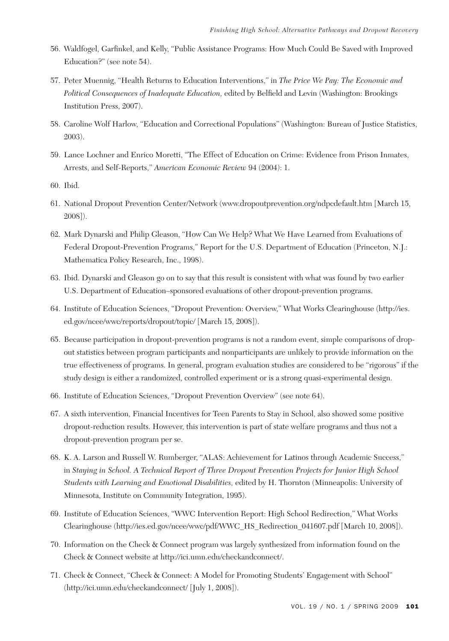- 56. Waldfogel, Garfinkel, and Kelly, "Public Assistance Programs: How Much Could Be Saved with Improved Education?" (see note 54).
- 57. Peter Muennig, "Health Returns to Education Interventions," in *The Price We Pay: The Economic and Political Consequences of Inadequate Education,* edited by Belfield and Levin (Washington: Brookings Institution Press, 2007).
- 58. Caroline Wolf Harlow, "Education and Correctional Populations" (Washington: Bureau of Justice Statistics, 2003).
- 59. Lance Lochner and Enrico Moretti, "The Effect of Education on Crime: Evidence from Prison Inmates, Arrests, and Self-Reports," *American Economic Review* 94 (2004): 1.
- 60. Ibid.
- 61. National Dropout Prevention Center/Network (www.dropoutprevention.org/ndpcdefault.htm [March 15, 2008]).
- 62. Mark Dynarski and Philip Gleason, "How Can We Help? What We Have Learned from Evaluations of Federal Dropout-Prevention Programs," Report for the U.S. Department of Education (Princeton, N.J.: Mathematica Policy Research, Inc., 1998).
- 63. Ibid. Dynarski and Gleason go on to say that this result is consistent with what was found by two earlier U.S. Department of Education–sponsored evaluations of other dropout-prevention programs.
- 64. Institute of Education Sciences, "Dropout Prevention: Overview," What Works Clearinghouse (http://ies. ed.gov/ncee/wwc/reports/dropout/topic/ [March 15, 2008]).
- 65. Because participation in dropout-prevention programs is not a random event, simple comparisons of dropout statistics between program participants and nonparticipants are unlikely to provide information on the true effectiveness of programs. In general, program evaluation studies are considered to be "rigorous" if the study design is either a randomized, controlled experiment or is a strong quasi-experimental design.
- 66. Institute of Education Sciences, "Dropout Prevention Overview" (see note 64).
- 67. A sixth intervention, Financial Incentives for Teen Parents to Stay in School, also showed some positive dropout-reduction results. However, this intervention is part of state welfare programs and thus not a dropout-prevention program per se.
- 68. K. A. Larson and Russell W. Rumberger, "ALAS: Achievement for Latinos through Academic Success," in *Staying in School. A Technical Report of Three Dropout Prevention Projects for Junior High School Students with Learning and Emotional Disabilities,* edited by H. Thornton (Minneapolis: University of Minnesota, Institute on Community Integration, 1995).
- 69. Institute of Education Sciences, "WWC Intervention Report: High School Redirection," What Works Clearinghouse (http://ies.ed.gov/ncee/wwc/pdf/WWC\_HS\_Redirection\_041607.pdf [March 10, 2008]).
- 70. Information on the Check & Connect program was largely synthesized from information found on the Check & Connect website at http://ici.umn.edu/checkandconnect/.
- 71. Check & Connect, "Check & Connect: A Model for Promoting Students' Engagement with School" (http://ici.umn.edu/checkandconnect/ [July 1, 2008]).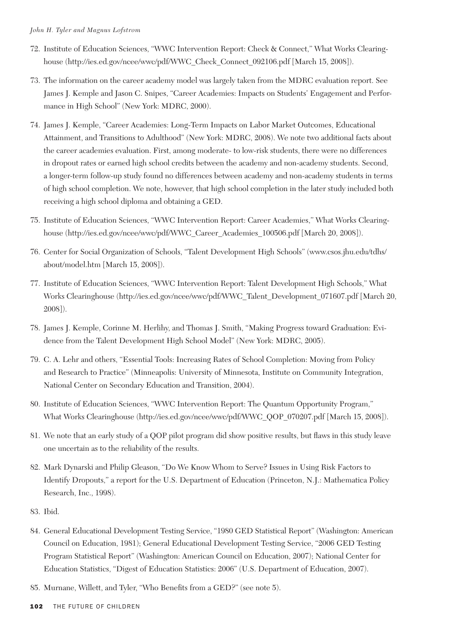- 72. Institute of Education Sciences, "WWC Intervention Report: Check & Connect," What Works Clearinghouse (http://ies.ed.gov/ncee/wwc/pdf/WWC\_Check\_Connect\_092106.pdf [March 15, 2008]).
- 73. The information on the career academy model was largely taken from the MDRC evaluation report. See James J. Kemple and Jason C. Snipes, "Career Academies: Impacts on Students' Engagement and Performance in High School" (New York: MDRC, 2000).
- 74. James J. Kemple, "Career Academies: Long-Term Impacts on Labor Market Outcomes, Educational Attainment, and Transitions to Adulthood" (New York: MDRC, 2008). We note two additional facts about the career academies evaluation. First, among moderate- to low-risk students, there were no differences in dropout rates or earned high school credits between the academy and non-academy students. Second, a longer-term follow-up study found no differences between academy and non-academy students in terms of high school completion. We note, however, that high school completion in the later study included both receiving a high school diploma and obtaining a GED.
- 75. Institute of Education Sciences, "WWC Intervention Report: Career Academies," What Works Clearinghouse (http://ies.ed.gov/ncee/wwc/pdf/WWC\_Career\_Academies\_100506.pdf [March 20, 2008]).
- 76. Center for Social Organization of Schools, "Talent Development High Schools" (www.csos.jhu.edu/tdhs/ about/model.htm [March 15, 2008]).
- 77. Institute of Education Sciences, "WWC Intervention Report: Talent Development High Schools," What Works Clearinghouse (http://ies.ed.gov/ncee/wwc/pdf/WWC\_Talent\_Development\_071607.pdf [March 20, 2008]).
- 78. James J. Kemple, Corinne M. Herlihy, and Thomas J. Smith, "Making Progress toward Graduation: Evidence from the Talent Development High School Model" (New York: MDRC, 2005).
- 79. C. A. Lehr and others, "Essential Tools: Increasing Rates of School Completion: Moving from Policy and Research to Practice" (Minneapolis: University of Minnesota, Institute on Community Integration, National Center on Secondary Education and Transition, 2004).
- 80. Institute of Education Sciences, "WWC Intervention Report: The Quantum Opportunity Program," What Works Clearinghouse (http://ies.ed.gov/ncee/wwc/pdf/WWC\_QOP\_070207.pdf [March 15, 2008]).
- 81. We note that an early study of a QOP pilot program did show positive results, but flaws in this study leave one uncertain as to the reliability of the results.
- 82. Mark Dynarski and Philip Gleason, "Do We Know Whom to Serve? Issues in Using Risk Factors to Identify Dropouts," a report for the U.S. Department of Education (Princeton, N.J.: Mathematica Policy Research, Inc., 1998).
- 83. Ibid.
- 84. General Educational Development Testing Service, "1980 GED Statistical Report" (Washington: American Council on Education, 1981); General Educational Development Testing Service, "2006 GED Testing Program Statistical Report" (Washington: American Council on Education, 2007); National Center for Education Statistics, "Digest of Education Statistics: 2006" (U.S. Department of Education, 2007).
- 85. Murnane, Willett, and Tyler, "Who Benefits from a GED?" (see note 5).